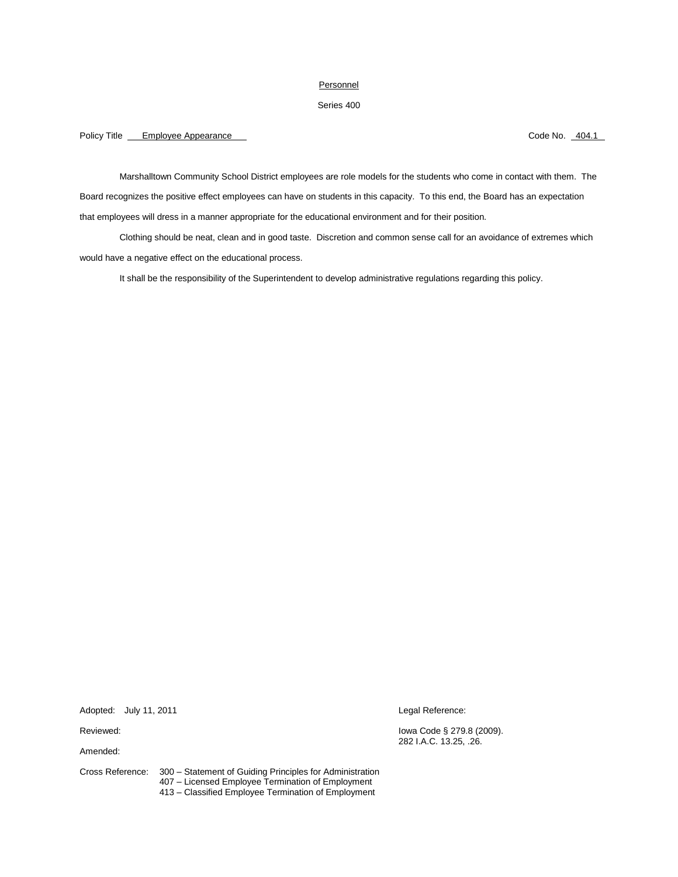## Personnel

## Series 400

# Policy Title Employee Appearance Code No. 204.1

Marshalltown Community School District employees are role models for the students who come in contact with them. The Board recognizes the positive effect employees can have on students in this capacity. To this end, the Board has an expectation that employees will dress in a manner appropriate for the educational environment and for their position.

Clothing should be neat, clean and in good taste. Discretion and common sense call for an avoidance of extremes which would have a negative effect on the educational process.

It shall be the responsibility of the Superintendent to develop administrative regulations regarding this policy.

Adopted: July 11, 2011 Legal Reference:

Amended:

Reviewed: Iowa Code § 279.8 (2009). 282 I.A.C. 13.25, .26.

Cross Reference: 300 – Statement of Guiding Principles for Administration 407 – Licensed Employee Termination of Employment 413 – Classified Employee Termination of Employment